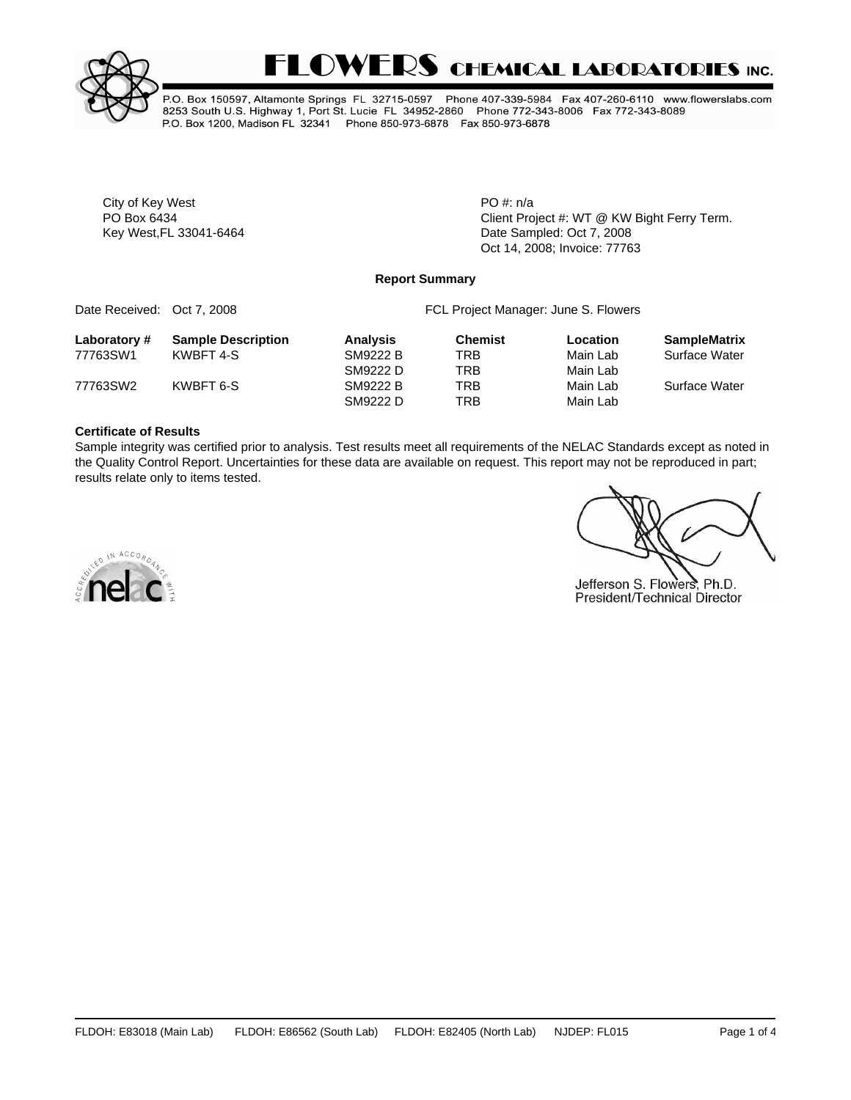



P.O. Box 150597, Altamonte Springs FL 32715-0597 Phone 407-339-5984 Fax 407-260-6110 www.flowerslabs.com 8253 South U.S. Highway 1, Port St. Lucie FL 34952-2860 Phone 772-343-8006 Fax 772-343-8089 P.O. Box 1200, Madison FL 32341 Phone 850-973-6878 Fax 850-973-6878

City of Key West **PO** #: n/a

PO Box 6434 **PO Box 6434** Client Project #: WT @ KW Bight Ferry Term. Key West, FL 33041-6464 **Date Sampled: Oct 7, 2008** Oct 14, 2008; Invoice: 77763

#### **Report Summary**

| Date Received: Oct 7, 2008 |                           | FCL Project Manager: June S. Flowers |                |          |                     |  |  |
|----------------------------|---------------------------|--------------------------------------|----------------|----------|---------------------|--|--|
| Laboratory#                | <b>Sample Description</b> | <b>Analysis</b>                      | <b>Chemist</b> | Location | <b>SampleMatrix</b> |  |  |
| 77763SW1                   | KWBFT 4-S                 | <b>SM9222 B</b>                      | TRB            | Main Lab | Surface Water       |  |  |
|                            |                           | SM9222 D                             | <b>TRB</b>     | Main Lab |                     |  |  |
| 77763SW2                   | KWBFT 6-S                 | <b>SM9222 B</b>                      | <b>TRB</b>     | Main Lab | Surface Water       |  |  |
|                            |                           | SM9222 D                             | <b>TRB</b>     | Main Lab |                     |  |  |

#### **Certificate of Results**

Sample integrity was certified prior to analysis. Test results meet all requirements of the NELAC Standards except as noted in the Quality Control Report. Uncertainties for these data are available on request. This report may not be reproduced in part; results relate only to items tested.

Jefferson S. Flowers, Ph.D. President/Technical Director

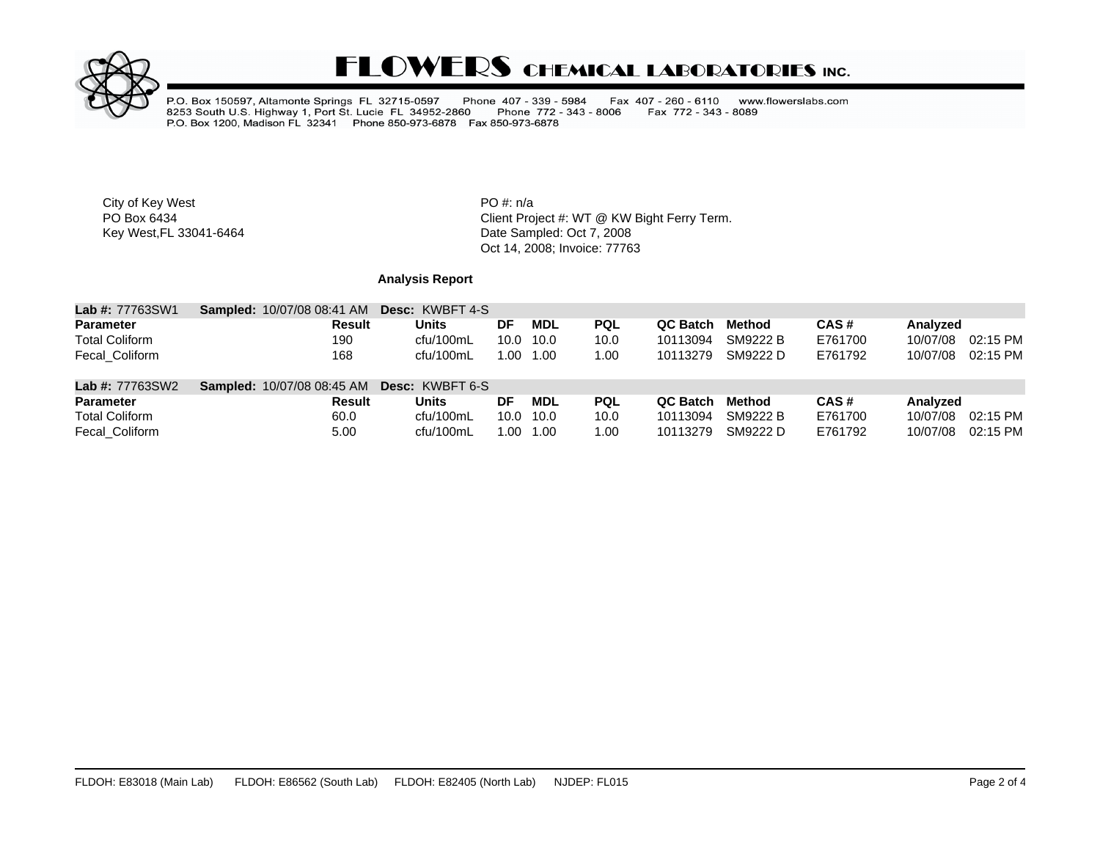

# **FLOWERS CHEMICAL LABORATORIES INC.**

P.O. Box 150597, Altamonte Springs FL 32715-0597 Phone 407 - 339 - 5984<br>8253 South U.S. Highway 1, Port St. Lucie FL 34952-2860 Phone 772 - 343<br>P.O. Box 1200, Madison FL 32341 Phone 850-973-6878 Fax 850-973-6878 Fax 407 - 260 - 6110 www.flowerslabs.com Phone 772 - 343 - 8006 Fax 772 - 343 - 8089

City of Key West **PO** #: n/a

PO Box 6434<br>
Rey West, FL 33041-6464<br>
Key West, FL 33041-6464<br>
Client Project #: WT @ KW Bight Ferry Term.<br>
Date Sampled: Oct 7, 2008 Date Sampled: Oct 7, 2008 Oct 14, 2008; Invoice: 77763

## **Analysis Report**

| <b>Lab #: 77763SW1</b> | <b>Sampled: 10/07/08 08:41 AM</b>                 | <b>Desc: KWBFT 4-S</b> |           |            |            |          |          |         |          |          |
|------------------------|---------------------------------------------------|------------------------|-----------|------------|------------|----------|----------|---------|----------|----------|
| <b>Parameter</b>       | Result                                            | <b>Units</b>           | DF        | <b>MDL</b> | <b>PQL</b> | QC Batch | Method   | CAS#    | Analyzed |          |
| <b>Total Coliform</b>  | 190                                               | cfu/100mL              | 10.0 10.0 |            | 10.0       | 10113094 | SM9222 B | E761700 | 10/07/08 | 02:15 PM |
| Fecal Coliform         | 168                                               | cfu/100mL              |           | 1.00 1.00  | 1.00       | 10113279 | SM9222 D | E761792 | 10/07/08 | 02:15 PM |
| <b>Lab #: 77763SW2</b> | <b>Sampled: 10/07/08 08:45 AM Desc: KWBFT 6-S</b> |                        |           |            |            |          |          |         |          |          |
| <b>Parameter</b>       | Result                                            | Units                  | DF        | MDL        | <b>PQL</b> | QC Batch | Method   | CAS#    | Analyzed |          |
| <b>Total Coliform</b>  | 60.0                                              | cfu/100mL              | 10.0 10.0 |            | 10.0       | 10113094 | SM9222 B | E761700 | 10/07/08 | 02:15 PM |
| Fecal Coliform         | 5.00                                              | cfu/100mL              | 00. ا     | 1.00       | .00        | 10113279 | SM9222 D | E761792 | 10/07/08 | 02:15 PM |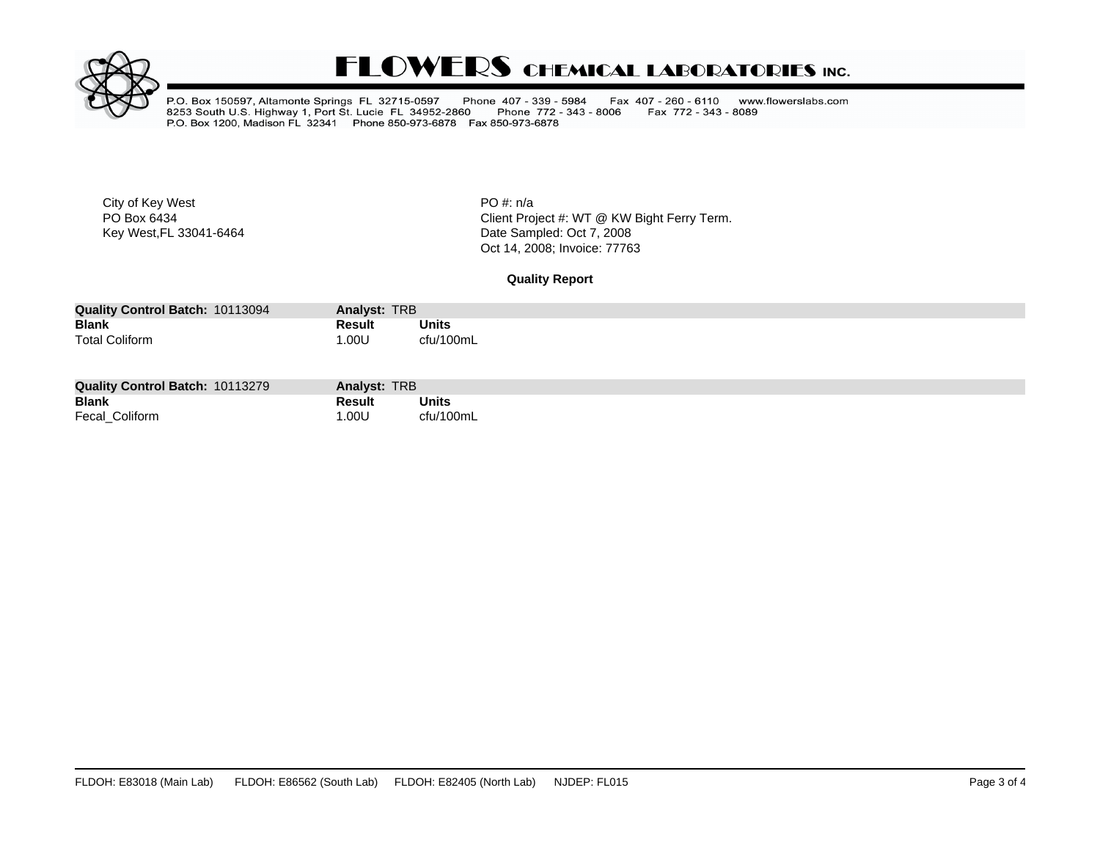

# **FLOWERS CHEMICAL LABORATORIES INC.**

P.O. Box 150597, Altamonte Springs FL 32715-0597 Phone 407 - 339 - 5984<br>8253 South U.S. Highway 1, Port St. Lucie FL 34952-2860 Phone 772 - 343<br>P.O. Box 1200, Madison FL 32341 Phone 850-973-6878 Fax 850-973-6878 Fax 407 - 260 - 6110 www.flowerslabs.com Fax 772 - 343 - 8089 Phone 772 - 343 - 8006

City of Key West **PO** #: n/a

PO Box 6434<br>
Rey West, FL 33041-6464<br>
Key West, FL 33041-6464<br>
Client Project #: WT @ KW Bight Ferry Term.<br>
Date Sampled: Oct 7, 2008 Date Sampled: Oct 7, 2008 Oct 14, 2008; Invoice: 77763

**Quality Report**

| <b>Quality Control Batch: 10113094</b> | Analyst: TRB |           |  |
|----------------------------------------|--------------|-----------|--|
| <b>Blank</b>                           | Result       | Units     |  |
| <b>Total Coliform</b>                  | .00U         | cfu/100mL |  |

| <b>Quality Control Batch: 10113279</b> | Analyst: TRB |              |
|----------------------------------------|--------------|--------------|
| <b>Blank</b>                           | Result       | <b>Units</b> |
| Fecal_Coliform                         | .00U         | cfu/100mL    |